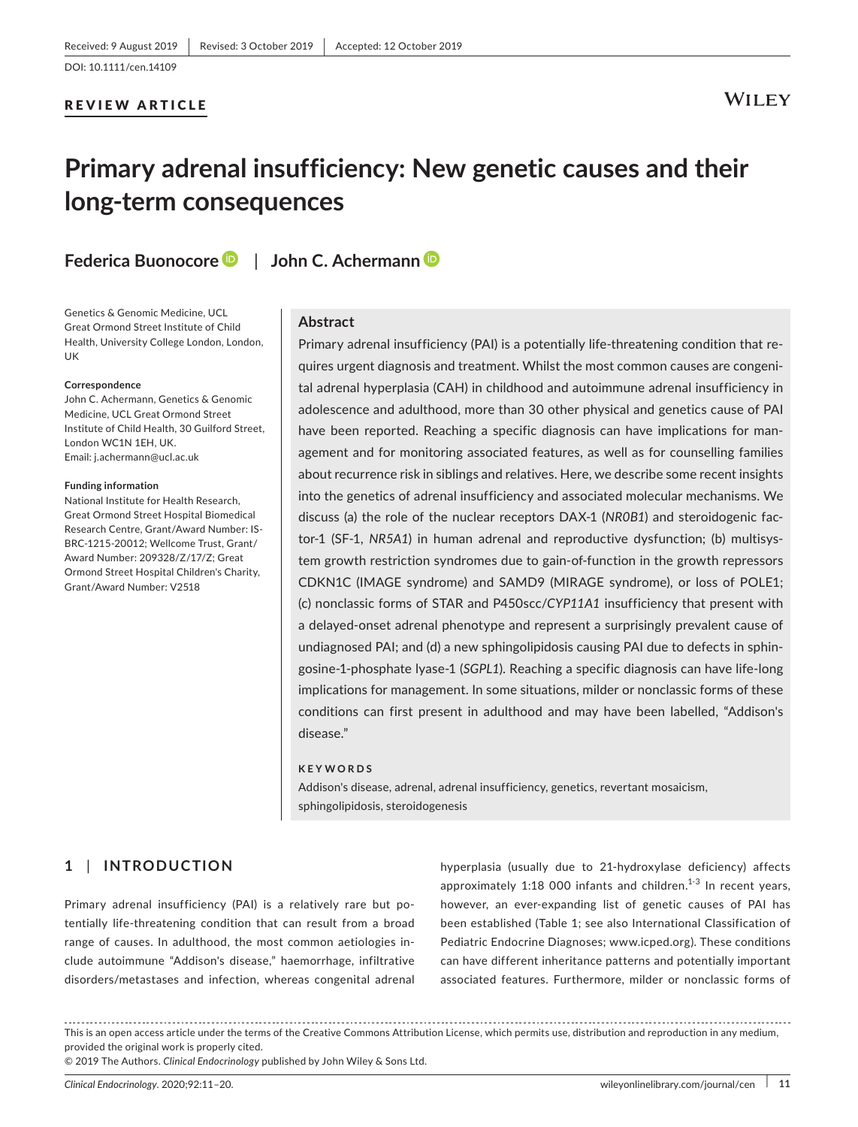#### REVIEW ARTICLE

# **WILEY**

# **Primary adrenal insufficiency: New genetic causes and their long‐term consequences**

**Federica Buonocore** | **John C. Achermann**

Genetics & Genomic Medicine, UCL Great Ormond Street Institute of Child Health, University College London, London, UK

#### **Correspondence**

John C. Achermann, Genetics & Genomic Medicine, UCL Great Ormond Street Institute of Child Health, 30 Guilford Street, London WC1N 1EH, UK. Email: [j.achermann@ucl.ac.uk](mailto:j.achermann@ucl.ac.uk)

#### **Funding information**

National Institute for Health Research, Great Ormond Street Hospital Biomedical Research Centre, Grant/Award Number: IS‐ BRC‐1215‐20012; Wellcome Trust, Grant/ Award Number: 209328/Z/17/Z; Great Ormond Street Hospital Children's Charity, Grant/Award Number: V2518

#### **Abstract**

Primary adrenal insufficiency (PAI) is a potentially life-threatening condition that requires urgent diagnosis and treatment. Whilst the most common causes are congeni‐ tal adrenal hyperplasia (CAH) in childhood and autoimmune adrenal insufficiency in adolescence and adulthood, more than 30 other physical and genetics cause of PAI have been reported. Reaching a specific diagnosis can have implications for man‐ agement and for monitoring associated features, as well as for counselling families about recurrence risk in siblings and relatives. Here, we describe some recent insights into the genetics of adrenal insufficiency and associated molecular mechanisms. We discuss (a) the role of the nuclear receptors DAX‐1 (*NR0B1*) and steroidogenic fac‐ tor‐1 (SF‐1, *NR5A1*) in human adrenal and reproductive dysfunction; (b) multisys‐ tem growth restriction syndromes due to gain‐of‐function in the growth repressors CDKN1C (IMAGE syndrome) and SAMD9 (MIRAGE syndrome), or loss of POLE1; (c) nonclassic forms of STAR and P450scc/*CYP11A1* insufficiency that present with a delayed‐onset adrenal phenotype and represent a surprisingly prevalent cause of undiagnosed PAI; and (d) a new sphingolipidosis causing PAI due to defects in sphin‐ gosine‐1‐phosphate lyase‐1 (*SGPL1*). Reaching a specific diagnosis can have life‐long implications for management. In some situations, milder or nonclassic forms of these conditions can first present in adulthood and may have been labelled, "Addison's disease."

#### **KEYWORDS**

Addison's disease, adrenal, adrenal insufficiency, genetics, revertant mosaicism, sphingolipidosis, steroidogenesis

# **1** | **INTRODUCTION**

Primary adrenal insufficiency (PAI) is a relatively rare but po‐ tentially life‐threatening condition that can result from a broad range of causes. In adulthood, the most common aetiologies in‐ clude autoimmune "Addison's disease," haemorrhage, infiltrative disorders/metastases and infection, whereas congenital adrenal

hyperplasia (usually due to 21‐hydroxylase deficiency) affects approximately  $1:18$  000 infants and children.<sup>1-3</sup> In recent years, however, an ever-expanding list of genetic causes of PAI has been established (Table 1; see also International Classification of Pediatric Endocrine Diagnoses; [www.icped.org](http://www.icped.org)). These conditions can have different inheritance patterns and potentially important associated features. Furthermore, milder or nonclassic forms of

This is an open access article under the terms of the [Creative Commons Attribution](http://creativecommons.org/licenses/by/4.0/) License, which permits use, distribution and reproduction in any medium, provided the original work is properly cited.

© 2019 The Authors. *Clinical Endocrinology* published by John Wiley & Sons Ltd.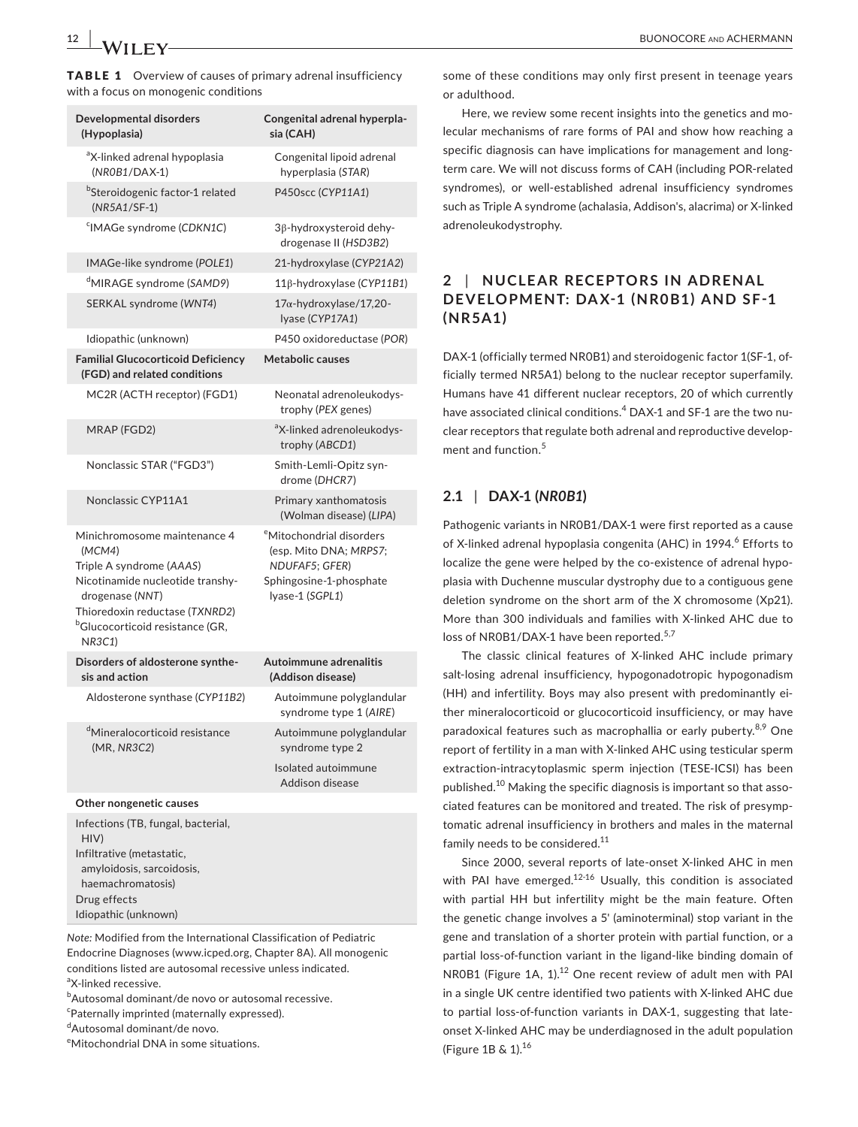TABLE 1 Overview of causes of primary adrenal insufficiency with a focus on monogenic conditions

| Developmental disorders<br>(Hypoplasia)                                                                                                                                                                             | Congenital adrenal hyperpla-<br>sia (CAH)                                                                                      |
|---------------------------------------------------------------------------------------------------------------------------------------------------------------------------------------------------------------------|--------------------------------------------------------------------------------------------------------------------------------|
| <sup>a</sup> X-linked adrenal hypoplasia<br>$(NROB1/DAX-1)$                                                                                                                                                         | Congenital lipoid adrenal<br>hyperplasia (STAR)                                                                                |
| <sup>b</sup> Steroidogenic factor-1 related<br>$(NR5A1/SF-1)$                                                                                                                                                       | P450scc (CYP11A1)                                                                                                              |
| <sup>c</sup> IMAGe syndrome (CDKN1C)                                                                                                                                                                                | 3β-hydroxysteroid dehy-<br>drogenase II (HSD3B2)                                                                               |
| IMAGe-like syndrome (POLE1)                                                                                                                                                                                         | 21-hydroxylase (CYP21A2)                                                                                                       |
| <sup>d</sup> MIRAGE syndrome (SAMD9)                                                                                                                                                                                | 11β-hydroxylase (CYP11B1)                                                                                                      |
| SERKAL syndrome (WNT4)                                                                                                                                                                                              | 17α-hydroxylase/17,20-<br>Iyase (CYP17A1)                                                                                      |
| Idiopathic (unknown)                                                                                                                                                                                                | P450 oxidoreductase (POR)                                                                                                      |
| <b>Familial Glucocorticoid Deficiency</b><br>(FGD) and related conditions                                                                                                                                           | Metabolic causes                                                                                                               |
| MC2R (ACTH receptor) (FGD1)                                                                                                                                                                                         | Neonatal adrenoleukodys-<br>trophy (PEX genes)                                                                                 |
| MRAP (FGD2)                                                                                                                                                                                                         | <sup>a</sup> X-linked adrenoleukodys-<br>trophy (ABCD1)                                                                        |
| Nonclassic STAR ("FGD3")                                                                                                                                                                                            | Smith-Lemli-Opitz syn-<br>drome (DHCR7)                                                                                        |
| Nonclassic CYP11A1                                                                                                                                                                                                  | Primary xanthomatosis<br>(Wolman disease) (LIPA)                                                                               |
| Minichromosome maintenance 4<br>(MCM4)<br>Triple A syndrome (AAAS)<br>Nicotinamide nucleotide transhy-<br>drogenase (NNT)<br>Thioredoxin reductase (TXNRD2)<br><sup>b</sup> Glucocorticoid resistance (GR,<br>NR3C1 | <sup>e</sup> Mitochondrial disorders<br>(esp. Mito DNA; MRPS7;<br>NDUFAF5; GFER)<br>Sphingosine-1-phosphate<br>lyase-1 (SGPL1) |
| Disorders of aldosterone synthe-<br>sis and action                                                                                                                                                                  | Autoimmune adrenalitis<br>(Addison disease)                                                                                    |
| Aldosterone synthase (CYP11B2)                                                                                                                                                                                      | Autoimmune polyglandular<br>syndrome type 1 (AIRE)                                                                             |
| <sup>d</sup> Mineralocorticoid resistance<br>(MR, NR3C2)                                                                                                                                                            | Autoimmune polyglandular<br>syndrome type 2                                                                                    |
|                                                                                                                                                                                                                     | Isolated autoimmune<br>Addison disease                                                                                         |
| <b>Other nongenetic causes</b>                                                                                                                                                                                      |                                                                                                                                |

| Infections (TB, fungal, bacterial, |
|------------------------------------|
| HIV)                               |
| Infiltrative (metastatic,          |
| amyloidosis, sarcoidosis,          |
| haemachromatosis)                  |
| Drug effects                       |
| Idiopathic (unknown)               |

*Note:* Modified from the International Classification of Pediatric Endocrine Diagnoses ([www.icped.org](http://www.icped.org), Chapter 8A). All monogenic conditions listed are autosomal recessive unless indicated. a X‐linked recessive.

**bAutosomal dominant/de novo or autosomal recessive.** 

c Paternally imprinted (maternally expressed).

d Autosomal dominant/de novo.

e Mitochondrial DNA in some situations.

some of these conditions may only first present in teenage years or adulthood.

Here, we review some recent insights into the genetics and molecular mechanisms of rare forms of PAI and show how reaching a specific diagnosis can have implications for management and longterm care. We will not discuss forms of CAH (including POR‐related syndromes), or well-established adrenal insufficiency syndromes such as Triple A syndrome (achalasia, Addison's, alacrima) or X‐linked adrenoleukodystrophy.

# **2** | **NUCLE AR RECEPTORS IN ADRENAL**  DEVELOPMENT: DAX-1 (NR0B1) AND SF-1 **(NR5A1)**

DAX-1 (officially termed NR0B1) and steroidogenic factor 1(SF-1, officially termed NR5A1) belong to the nuclear receptor superfamily. Humans have 41 different nuclear receptors, 20 of which currently have associated clinical conditions.<sup>4</sup> DAX-1 and SF-1 are the two nuclear receptors that regulate both adrenal and reproductive develop‐ ment and function.<sup>5</sup>

# **2.1** | **DAX‐1 (***NR0B1***)**

Pathogenic variants in NR0B1/DAX‐1 were first reported as a cause of X-linked adrenal hypoplasia congenita (AHC) in 1994.<sup>6</sup> Efforts to localize the gene were helped by the co-existence of adrenal hypoplasia with Duchenne muscular dystrophy due to a contiguous gene deletion syndrome on the short arm of the X chromosome (Xp21). More than 300 individuals and families with X‐linked AHC due to loss of NR0B1/DAX-1 have been reported.<sup>5,7</sup>

The classic clinical features of X‐linked AHC include primary salt-losing adrenal insufficiency, hypogonadotropic hypogonadism (HH) and infertility. Boys may also present with predominantly ei‐ ther mineralocorticoid or glucocorticoid insufficiency, or may have paradoxical features such as macrophallia or early puberty.<sup>8,9</sup> One report of fertility in a man with X‐linked AHC using testicular sperm extraction‐intracytoplasmic sperm injection (TESE‐ICSI) has been published.<sup>10</sup> Making the specific diagnosis is important so that associated features can be monitored and treated. The risk of presymp‐ tomatic adrenal insufficiency in brothers and males in the maternal family needs to be considered.<sup>11</sup>

Since 2000, several reports of late‐onset X‐linked AHC in men with PAI have emerged. $12-16$  Usually, this condition is associated with partial HH but infertility might be the main feature. Often the genetic change involves a 5' (aminoterminal) stop variant in the gene and translation of a shorter protein with partial function, or a partial loss‐of‐function variant in the ligand‐like binding domain of NR0B1 (Figure 1A, 1).<sup>12</sup> One recent review of adult men with PAI in a single UK centre identified two patients with X‐linked AHC due to partial loss-of-function variants in DAX-1, suggesting that lateonset X‐linked AHC may be underdiagnosed in the adult population (Figure 1B & 1).<sup>16</sup>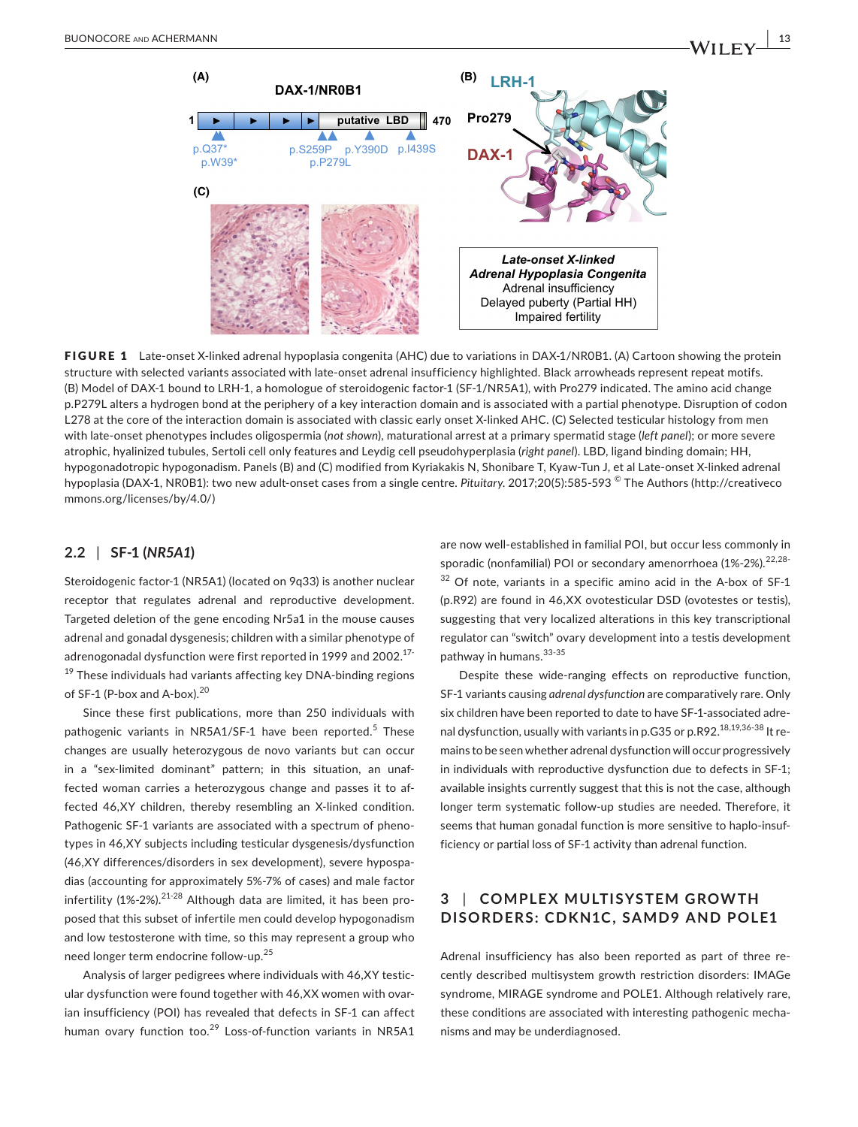

FIGURE 1 Late-onset X-linked adrenal hypoplasia congenita (AHC) due to variations in DAX-1/NR0B1. (A) Cartoon showing the protein structure with selected variants associated with late‐onset adrenal insufficiency highlighted. Black arrowheads represent repeat motifs. (B) Model of DAX‐1 bound to LRH‐1, a homologue of steroidogenic factor‐1 (SF‐1/NR5A1), with Pro279 indicated. The amino acid change p.P279L alters a hydrogen bond at the periphery of a key interaction domain and is associated with a partial phenotype. Disruption of codon L278 at the core of the interaction domain is associated with classic early onset X-linked AHC. (C) Selected testicular histology from men with late‐onset phenotypes includes oligospermia (*not shown*), maturational arrest at a primary spermatid stage (*left panel*); or more severe atrophic, hyalinized tubules, Sertoli cell only features and Leydig cell pseudohyperplasia (*right panel*). LBD, ligand binding domain; HH, hypogonadotropic hypogonadism. Panels (B) and (C) modified from Kyriakakis N, Shonibare T, Kyaw-Tun J, et al Late-onset X-linked adrenal hypoplasia (DAX‐1, NR0B1): two new adult‐onset cases from a single centre. *Pituitary*. 2017;20(5):585‐593 © The Authors [\(http://creativeco](http://creativecommons.org/licenses/by/4.0/) [mmons.org/licenses/by/4.0/](http://creativecommons.org/licenses/by/4.0/))

#### **2.2** | **SF‐1 (***NR5A1***)**

Steroidogenic factor-1 (NR5A1) (located on 9q33) is another nuclear receptor that regulates adrenal and reproductive development. Targeted deletion of the gene encoding Nr5a1 in the mouse causes adrenal and gonadal dysgenesis; children with a similar phenotype of adrenogonadal dysfunction were first reported in 1999 and 2002.<sup>17-</sup> 19 These individuals had variants affecting key DNA-binding regions of SF-1 (P-box and A-box).<sup>20</sup>

Since these first publications, more than 250 individuals with pathogenic variants in NR5A1/SF-1 have been reported.<sup>5</sup> These changes are usually heterozygous de novo variants but can occur in a "sex-limited dominant" pattern; in this situation, an unaffected woman carries a heterozygous change and passes it to af‐ fected 46,XY children, thereby resembling an X‐linked condition. Pathogenic SF-1 variants are associated with a spectrum of phenotypes in 46,XY subjects including testicular dysgenesis/dysfunction (46,XY differences/disorders in sex development), severe hypospa‐ dias (accounting for approximately 5%‐7% of cases) and male factor infertility (1%-2%).<sup>21-28</sup> Although data are limited, it has been proposed that this subset of infertile men could develop hypogonadism and low testosterone with time, so this may represent a group who need longer term endocrine follow‐up.<sup>25</sup>

Analysis of larger pedigrees where individuals with 46,XY testic‐ ular dysfunction were found together with 46, XX women with ovarian insufficiency (POI) has revealed that defects in SF‐1 can affect human ovary function too.<sup>29</sup> Loss-of-function variants in NR5A1

are now well‐established in familial POI, but occur less commonly in sporadic (nonfamilial) POI or secondary amenorrhoea (1%-2%).<sup>22,28-</sup>  $32$  Of note, variants in a specific amino acid in the A-box of SF-1 (p.R92) are found in 46,XX ovotesticular DSD (ovotestes or testis), suggesting that very localized alterations in this key transcriptional regulator can "switch" ovary development into a testis development pathway in humans. 33-35

Despite these wide-ranging effects on reproductive function, SF‐1 variants causing *adrenal dysfunction* are comparatively rare. Only six children have been reported to date to have SF‐1‐associated adre‐ nal dysfunction, usually with variants in p.G35 or p.R92.<sup>18,19,36-38</sup> It remains to be seen whether adrenal dysfunction will occur progressively in individuals with reproductive dysfunction due to defects in SF‐1; available insights currently suggest that this is not the case, although longer term systematic follow‐up studies are needed. Therefore, it seems that human gonadal function is more sensitive to haplo-insufficiency or partial loss of SF‐1 activity than adrenal function.

# **3** | COMPLEX MULTISYSTEM GROWTH **DISORDERS: CDKN1C, SAMD9 AND POLE1**

Adrenal insufficiency has also been reported as part of three re‐ cently described multisystem growth restriction disorders: IMAGe syndrome, MIRAGE syndrome and POLE1. Although relatively rare, these conditions are associated with interesting pathogenic mecha‐ nisms and may be underdiagnosed.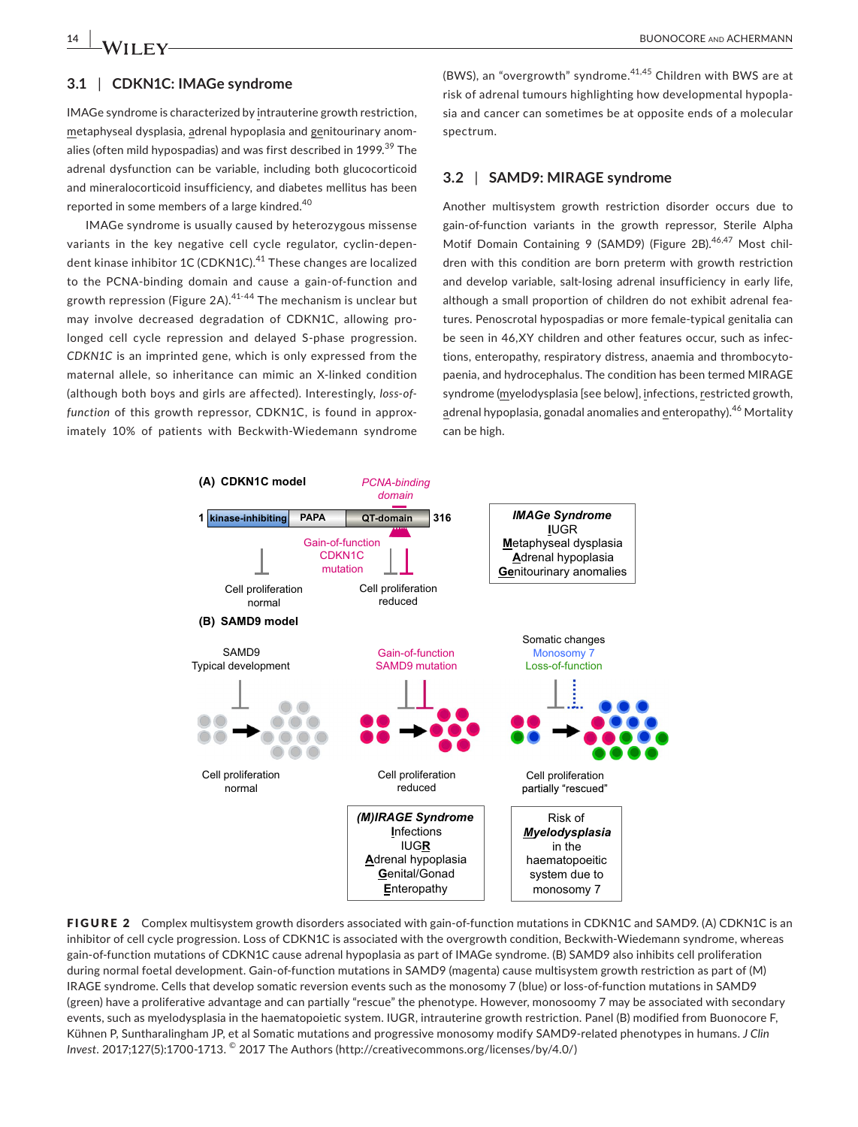#### **3.1** | **CDKN1C: IMAGe syndrome**

IMAGe syndrome is characterized by intrauterine growth restriction, metaphyseal dysplasia, adrenal hypoplasia and genitourinary anom‐ alies (often mild hypospadias) and was first described in 1999.<sup>39</sup> The adrenal dysfunction can be variable, including both glucocorticoid and mineralocorticoid insufficiency, and diabetes mellitus has been reported in some members of a large kindred.<sup>40</sup>

IMAGe syndrome is usually caused by heterozygous missense variants in the key negative cell cycle regulator, cyclin‐depen‐ dent kinase inhibitor 1C (CDKN1C).<sup>41</sup> These changes are localized to the PCNA‐binding domain and cause a gain‐of‐function and growth repression (Figure 2A).  $41-44$  The mechanism is unclear but may involve decreased degradation of CDKN1C, allowing pro‐ longed cell cycle repression and delayed S-phase progression. *CDKN1C* is an imprinted gene, which is only expressed from the maternal allele, so inheritance can mimic an X‐linked condition (although both boys and girls are affected). Interestingly, *loss‐of‐ function* of this growth repressor, CDKN1C, is found in approx‐ imately 10% of patients with Beckwith‐Wiedemann syndrome

(BWS), an "overgrowth" syndrome.<sup>41,45</sup> Children with BWS are at risk of adrenal tumours highlighting how developmental hypopla‐ sia and cancer can sometimes be at opposite ends of a molecular spectrum.

#### **3.2** | **SAMD9: MIRAGE syndrome**

Another multisystem growth restriction disorder occurs due to gain‐of‐function variants in the growth repressor, Sterile Alpha Motif Domain Containing 9 (SAMD9) (Figure 2B).<sup>46,47</sup> Most children with this condition are born preterm with growth restriction and develop variable, salt‐losing adrenal insufficiency in early life, although a small proportion of children do not exhibit adrenal fea‐ tures. Penoscrotal hypospadias or more female‐typical genitalia can be seen in 46,XY children and other features occur, such as infections, enteropathy, respiratory distress, anaemia and thrombocyto‐ paenia, and hydrocephalus. The condition has been termed MIRAGE syndrome (myelodysplasia [see below], infections, restricted growth, adrenal hypoplasia, gonadal anomalies and enteropathy).<sup>46</sup> Mortality can be high.



FIGURE 2 Complex multisystem growth disorders associated with gain-of-function mutations in CDKN1C and SAMD9. (A) CDKN1C is an inhibitor of cell cycle progression. Loss of CDKN1C is associated with the overgrowth condition, Beckwith‐Wiedemann syndrome, whereas gain‐of‐function mutations of CDKN1C cause adrenal hypoplasia as part of IMAGe syndrome. (B) SAMD9 also inhibits cell proliferation during normal foetal development. Gain‐of‐function mutations in SAMD9 (magenta) cause multisystem growth restriction as part of (M) IRAGE syndrome. Cells that develop somatic reversion events such as the monosomy 7 (blue) or loss‐of‐function mutations in SAMD9 (green) have a proliferative advantage and can partially "rescue" the phenotype. However, monosoomy 7 may be associated with secondary events, such as myelodysplasia in the haematopoietic system. IUGR, intrauterine growth restriction. Panel (B) modified from Buonocore F, Kühnen P, Suntharalingham JP, et al Somatic mutations and progressive monosomy modify SAMD9‐related phenotypes in humans. *J Clin Invest*. 2017;127(5):1700‐1713. © 2017 The Authors [\(http://creativecommons.org/licenses/by/4.0/\)](http://creativecommons.org/licenses/by/4.0/)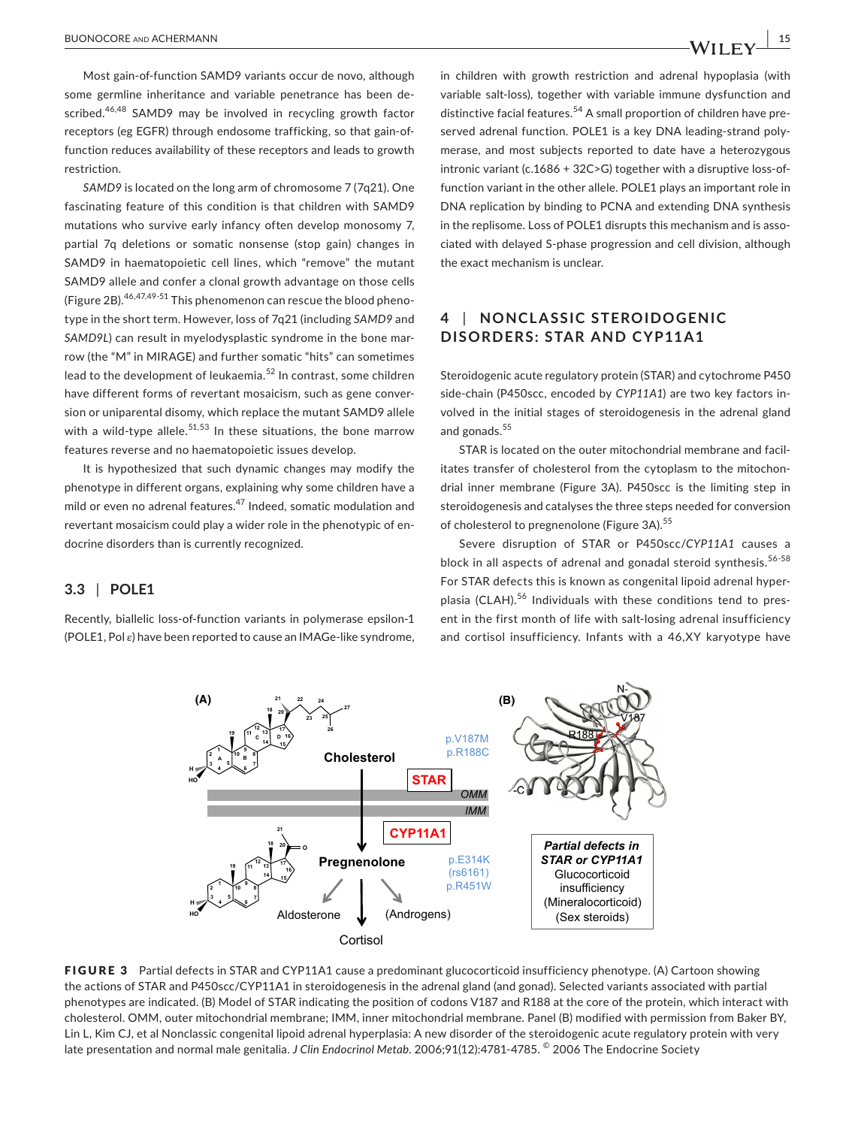Most gain‐of‐function SAMD9 variants occur de novo, although some germline inheritance and variable penetrance has been de‐ scribed.<sup>46,48</sup> SAMD9 may be involved in recycling growth factor receptors (eg EGFR) through endosome trafficking, so that gain‐of‐ function reduces availability of these receptors and leads to growth restriction.

*SAMD9* is located on the long arm of chromosome 7 (7q21). One fascinating feature of this condition is that children with SAMD9 mutations who survive early infancy often develop monosomy 7, partial 7q deletions or somatic nonsense (stop gain) changes in SAMD9 in haematopoietic cell lines, which "remove" the mutant SAMD9 allele and confer a clonal growth advantage on those cells (Figure 2B).46,47,49-51 This phenomenon can rescue the blood pheno‐ type in the short term. However, loss of 7q21 (including *SAMD9* and *SAMD9L*) can result in myelodysplastic syndrome in the bone mar‐ row (the "M" in MIRAGE) and further somatic "hits" can sometimes lead to the development of leukaemia.52 In contrast, some children have different forms of revertant mosaicism, such as gene conver‐ sion or uniparental disomy, which replace the mutant SAMD9 allele with a wild-type allele.<sup>51,53</sup> In these situations, the bone marrow features reverse and no haematopoietic issues develop.

It is hypothesized that such dynamic changes may modify the phenotype in different organs, explaining why some children have a mild or even no adrenal features.<sup>47</sup> Indeed, somatic modulation and revertant mosaicism could play a wider role in the phenotypic of en‐ docrine disorders than is currently recognized.

#### **3.3** | **POLE1**

Recently, biallelic loss‐of‐function variants in polymerase epsilon‐1 (POLE1, Pol  $\varepsilon$ ) have been reported to cause an IMAGe-like syndrome, in children with growth restriction and adrenal hypoplasia (with variable salt‐loss), together with variable immune dysfunction and distinctive facial features.<sup>54</sup> A small proportion of children have preserved adrenal function. POLE1 is a key DNA leading-strand polymerase, and most subjects reported to date have a heterozygous intronic variant (c.1686 + 32C>G) together with a disruptive loss‐of‐ function variant in the other allele. POLE1 plays an important role in DNA replication by binding to PCNA and extending DNA synthesis in the replisome. Loss of POLE1 disrupts this mechanism and is associated with delayed S‐phase progression and cell division, although the exact mechanism is unclear.

# **4** | **NONCL A SSIC STEROIDOGENIC DISORDERS: STAR AND CYP11A1**

Steroidogenic acute regulatory protein (STAR) and cytochrome P450 side-chain (P450scc, encoded by CYP11A1) are two key factors involved in the initial stages of steroidogenesis in the adrenal gland and gonads.<sup>55</sup>

STAR is located on the outer mitochondrial membrane and facil‐ itates transfer of cholesterol from the cytoplasm to the mitochon‐ drial inner membrane (Figure 3A). P450scc is the limiting step in steroidogenesis and catalyses the three steps needed for conversion of cholesterol to pregnenolone (Figure 3A).<sup>55</sup>

Severe disruption of STAR or P450scc/*CYP11A1* causes a block in all aspects of adrenal and gonadal steroid synthesis.<sup>56-58</sup> For STAR defects this is known as congenital lipoid adrenal hyper‐ plasia (CLAH).<sup>56</sup> Individuals with these conditions tend to present in the first month of life with salt‐losing adrenal insufficiency and cortisol insufficiency. Infants with a 46,XY karyotype have



FIGURE 3 Partial defects in STAR and CYP11A1 cause a predominant glucocorticoid insufficiency phenotype. (A) Cartoon showing the actions of STAR and P450scc/CYP11A1 in steroidogenesis in the adrenal gland (and gonad). Selected variants associated with partial phenotypes are indicated. (B) Model of STAR indicating the position of codons V187 and R188 at the core of the protein, which interact with cholesterol. OMM, outer mitochondrial membrane; IMM, inner mitochondrial membrane. Panel (B) modified with permission from Baker BY, Lin L, Kim CJ, et al Nonclassic congenital lipoid adrenal hyperplasia: A new disorder of the steroidogenic acute regulatory protein with very late presentation and normal male genitalia. *J Clin Endocrinol Metab*. 2006;91(12):4781‐4785. © 2006 The Endocrine Society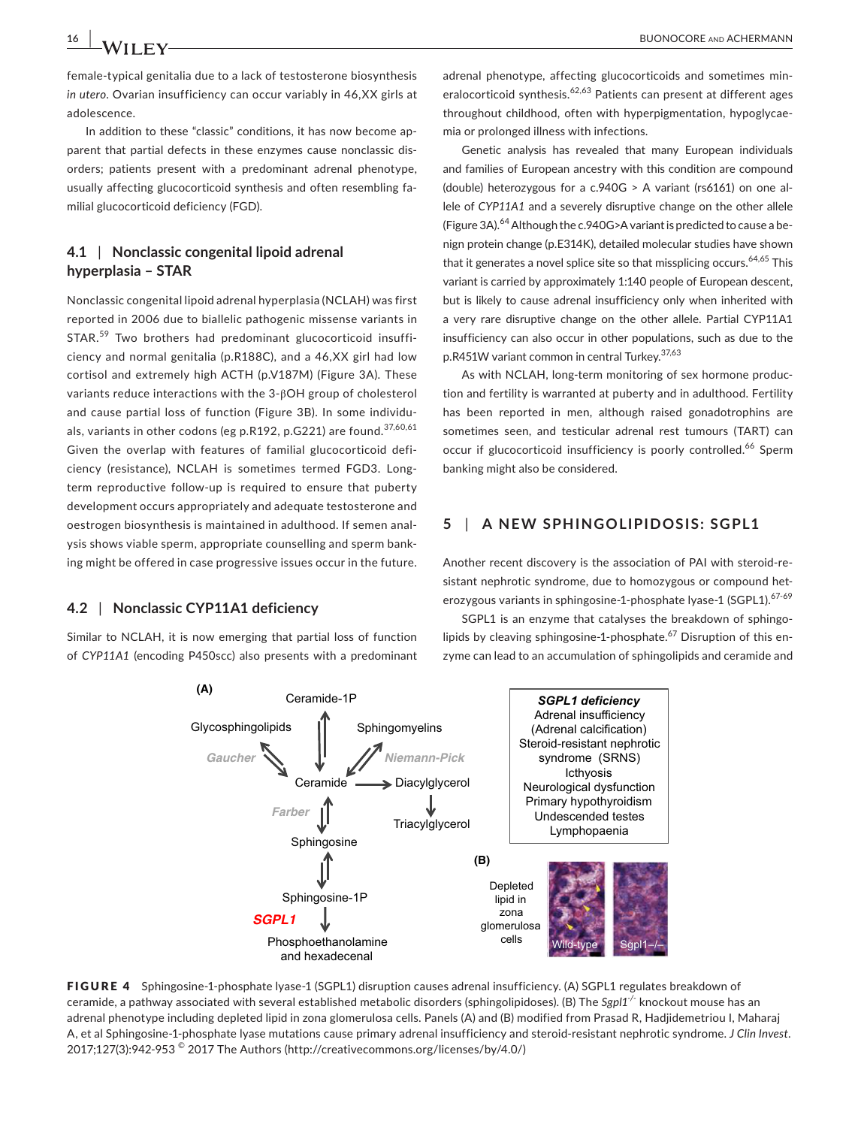female‐typical genitalia due to a lack of testosterone biosynthesis *in utero*. Ovarian insufficiency can occur variably in 46,XX girls at adolescence.

In addition to these "classic" conditions, it has now become ap‐ parent that partial defects in these enzymes cause nonclassic dis‐ orders; patients present with a predominant adrenal phenotype, usually affecting glucocorticoid synthesis and often resembling fa‐ milial glucocorticoid deficiency (FGD).

# **4.1** | **Nonclassic congenital lipoid adrenal hyperplasia – STAR**

Nonclassic congenital lipoid adrenal hyperplasia (NCLAH) was first reported in 2006 due to biallelic pathogenic missense variants in STAR.<sup>59</sup> Two brothers had predominant glucocorticoid insufficiency and normal genitalia (p.R188C), and a 46,XX girl had low cortisol and extremely high ACTH (p.V187M) (Figure 3A). These variants reduce interactions with the 3‐βOH group of cholesterol and cause partial loss of function (Figure 3B). In some individuals, variants in other codons (eg p.R192, p.G221) are found.<sup>37,60,61</sup> Given the overlap with features of familial glucocorticoid defi‐ ciency (resistance), NCLAH is sometimes termed FGD3. Long‐ term reproductive follow-up is required to ensure that puberty development occurs appropriately and adequate testosterone and oestrogen biosynthesis is maintained in adulthood. If semen anal‐ ysis shows viable sperm, appropriate counselling and sperm bank‐ ing might be offered in case progressive issues occur in the future.

### **4.2** | **Nonclassic CYP11A1 deficiency**

Similar to NCLAH, it is now emerging that partial loss of function of *CYP11A1* (encoding P450scc) also presents with a predominant

adrenal phenotype, affecting glucocorticoids and sometimes min‐ eralocorticoid synthesis.<sup>62,63</sup> Patients can present at different ages throughout childhood, often with hyperpigmentation, hypoglycae‐ mia or prolonged illness with infections.

Genetic analysis has revealed that many European individuals and families of European ancestry with this condition are compound (double) heterozygous for a c.940G > A variant (rs6161) on one al‐ lele of *CYP11A1* and a severely disruptive change on the other allele (Figure 3A).<sup>64</sup> Although the c.940G>A variant is predicted to cause a benign protein change (p.E314K), detailed molecular studies have shown that it generates a novel splice site so that missplicing occurs.  $64,65$  This variant is carried by approximately 1:140 people of European descent, but is likely to cause adrenal insufficiency only when inherited with a very rare disruptive change on the other allele. Partial CYP11A1 insufficiency can also occur in other populations, such as due to the p.R451W variant common in central Turkey.<sup>37,63</sup>

As with NCLAH, long‐term monitoring of sex hormone produc‐ tion and fertility is warranted at puberty and in adulthood. Fertility has been reported in men, although raised gonadotrophins are sometimes seen, and testicular adrenal rest tumours (TART) can occur if glucocorticoid insufficiency is poorly controlled.<sup>66</sup> Sperm banking might also be considered.

# **5** | **A NEW SPHINGOLIPIDOSIS: SGPL1**

Another recent discovery is the association of PAI with steroid‐re‐ sistant nephrotic syndrome, due to homozygous or compound heterozygous variants in sphingosine-1-phosphate lyase-1 (SGPL1). 67-69

SGPL1 is an enzyme that catalyses the breakdown of sphingo‐ lipids by cleaving sphingosine-1-phosphate.<sup>67</sup> Disruption of this enzyme can lead to an accumulation of sphingolipids and ceramide and



FIGURE 4 Sphingosine-1-phosphate lyase-1 (SGPL1) disruption causes adrenal insufficiency. (A) SGPL1 regulates breakdown of ceramide, a pathway associated with several established metabolic disorders (sphingolipidoses). (B) The *Sgpl1‐/‐* knockout mouse has an adrenal phenotype including depleted lipid in zona glomerulosa cells. Panels (A) and (B) modified from Prasad R, Hadjidemetriou I, Maharaj A, et al Sphingosine‐1‐phosphate lyase mutations cause primary adrenal insufficiency and steroid‐resistant nephrotic syndrome. *J Clin Invest*. 2017;127(3):942‐953 © 2017 The Authors (<http://creativecommons.org/licenses/by/4.0/>)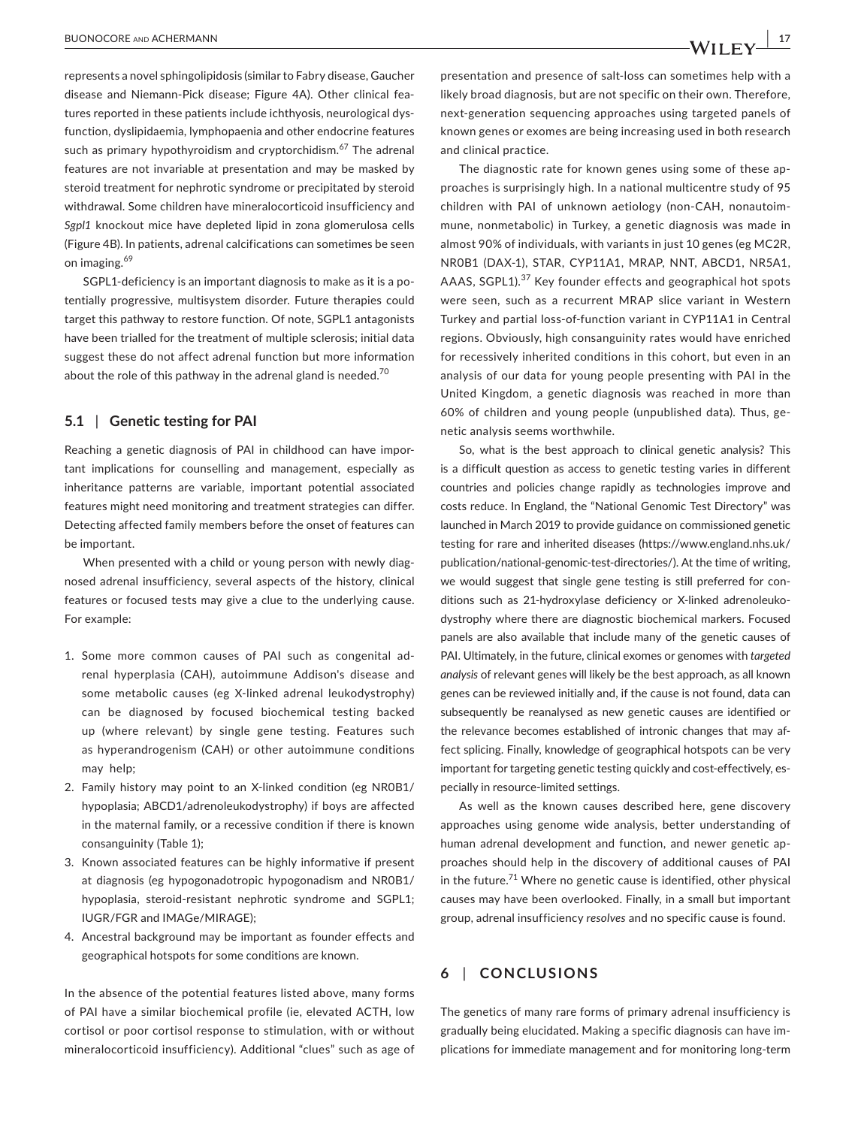represents a novel sphingolipidosis (similar to Fabry disease, Gaucher disease and Niemann‐Pick disease; Figure 4A). Other clinical fea‐ tures reported in these patients include ichthyosis, neurological dys‐ function, dyslipidaemia, lymphopaenia and other endocrine features such as primary hypothyroidism and cryptorchidism.<sup>67</sup> The adrenal features are not invariable at presentation and may be masked by steroid treatment for nephrotic syndrome or precipitated by steroid withdrawal. Some children have mineralocorticoid insufficiency and *Sgpl1* knockout mice have depleted lipid in zona glomerulosa cells (Figure 4B). In patients, adrenal calcifications can sometimes be seen on imaging.<sup>69</sup>

SGPL1-deficiency is an important diagnosis to make as it is a potentially progressive, multisystem disorder. Future therapies could target this pathway to restore function. Of note, SGPL1 antagonists have been trialled for the treatment of multiple sclerosis; initial data suggest these do not affect adrenal function but more information about the role of this pathway in the adrenal gland is needed.<sup>70</sup>

#### **5.1** | **Genetic testing for PAI**

Reaching a genetic diagnosis of PAI in childhood can have impor‐ tant implications for counselling and management, especially as inheritance patterns are variable, important potential associated features might need monitoring and treatment strategies can differ. Detecting affected family members before the onset of features can be important.

When presented with a child or young person with newly diagnosed adrenal insufficiency, several aspects of the history, clinical features or focused tests may give a clue to the underlying cause. For example:

- 1. Some more common causes of PAI such as congenital ad‐ renal hyperplasia (CAH), autoimmune Addison's disease and some metabolic causes (eg X‐linked adrenal leukodystrophy) can be diagnosed by focused biochemical testing backed up (where relevant) by single gene testing. Features such as hyperandrogenism (CAH) or other autoimmune conditions may help;
- 2. Family history may point to an X-linked condition (eg NR0B1/ hypoplasia; ABCD1/adrenoleukodystrophy) if boys are affected in the maternal family, or a recessive condition if there is known consanguinity (Table 1);
- 3. Known associated features can be highly informative if present at diagnosis (eg hypogonadotropic hypogonadism and NR0B1/ hypoplasia, steroid‐resistant nephrotic syndrome and SGPL1; IUGR/FGR and IMAGe/MIRAGE);
- 4. Ancestral background may be important as founder effects and geographical hotspots for some conditions are known.

In the absence of the potential features listed above, many forms of PAI have a similar biochemical profile (ie, elevated ACTH, low cortisol or poor cortisol response to stimulation, with or without mineralocorticoid insufficiency). Additional "clues" such as age of

presentation and presence of salt‐loss can sometimes help with a likely broad diagnosis, but are not specific on their own. Therefore, next‐generation sequencing approaches using targeted panels of known genes or exomes are being increasing used in both research and clinical practice.

The diagnostic rate for known genes using some of these ap‐ proaches is surprisingly high. In a national multicentre study of 95 children with PAI of unknown aetiology (non‐CAH, nonautoim‐ mune, nonmetabolic) in Turkey, a genetic diagnosis was made in almost 90% of individuals, with variants in just 10 genes (eg MC2R, NR0B1 (DAX‐1), STAR, CYP11A1, MRAP, NNT, ABCD1, NR5A1, AAAS, SGPL1).<sup>37</sup> Key founder effects and geographical hot spots were seen, such as a recurrent MRAP slice variant in Western Turkey and partial loss‐of‐function variant in CYP11A1 in Central regions. Obviously, high consanguinity rates would have enriched for recessively inherited conditions in this cohort, but even in an analysis of our data for young people presenting with PAI in the United Kingdom, a genetic diagnosis was reached in more than 60% of children and young people (unpublished data). Thus, ge‐ netic analysis seems worthwhile.

So, what is the best approach to clinical genetic analysis? This is a difficult question as access to genetic testing varies in different countries and policies change rapidly as technologies improve and costs reduce. In England, the "National Genomic Test Directory" was launched in March 2019 to provide guidance on commissioned genetic testing for rare and inherited diseases ([https://www.england.nhs.uk/](https://www.england.nhs.uk/publication/national-genomic-test-directories/) [publication/national-genomic-test-directories/](https://www.england.nhs.uk/publication/national-genomic-test-directories/)). At the time of writing, we would suggest that single gene testing is still preferred for conditions such as 21-hydroxylase deficiency or X-linked adrenoleukodystrophy where there are diagnostic biochemical markers. Focused panels are also available that include many of the genetic causes of PAI. Ultimately, in the future, clinical exomes or genomes with *targeted analysis* of relevant genes will likely be the best approach, as all known genes can be reviewed initially and, if the cause is not found, data can subsequently be reanalysed as new genetic causes are identified or the relevance becomes established of intronic changes that may af‐ fect splicing. Finally, knowledge of geographical hotspots can be very important for targeting genetic testing quickly and cost-effectively, especially in resource‐limited settings.

As well as the known causes described here, gene discovery approaches using genome wide analysis, better understanding of human adrenal development and function, and newer genetic approaches should help in the discovery of additional causes of PAI in the future.<sup>71</sup> Where no genetic cause is identified, other physical causes may have been overlooked. Finally, in a small but important group, adrenal insufficiency *resolves* and no specific cause is found.

# **6** | **CONCLUSIONS**

The genetics of many rare forms of primary adrenal insufficiency is gradually being elucidated. Making a specific diagnosis can have im‐ plications for immediate management and for monitoring long‐term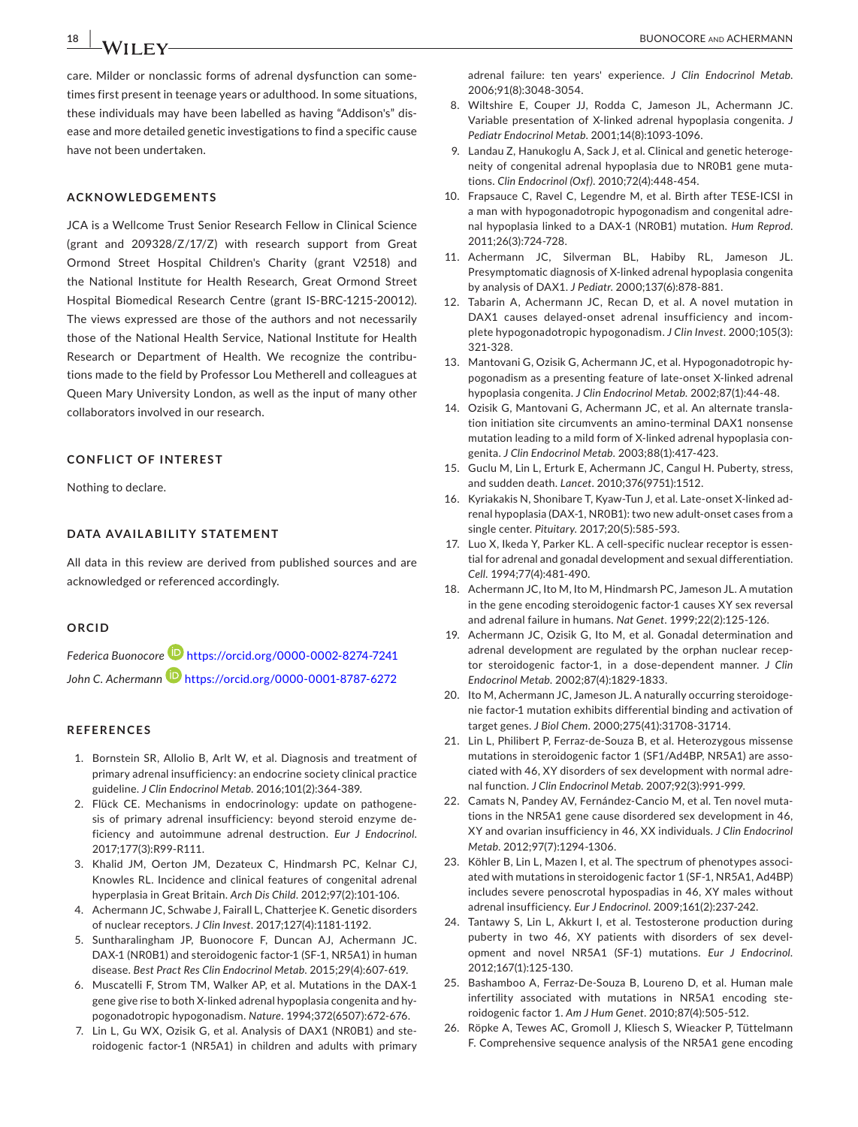care. Milder or nonclassic forms of adrenal dysfunction can some‐ times first present in teenage years or adulthood. In some situations, these individuals may have been labelled as having "Addison's" dis‐ ease and more detailed genetic investigations to find a specific cause have not been undertaken.

#### **ACKNOWLEDGEMENTS**

JCA is a Wellcome Trust Senior Research Fellow in Clinical Science (grant and 209328/Z/17/Z) with research support from Great Ormond Street Hospital Children's Charity (grant V2518) and the National Institute for Health Research, Great Ormond Street Hospital Biomedical Research Centre (grant IS‐BRC‐1215‐20012). The views expressed are those of the authors and not necessarily those of the National Health Service, National Institute for Health Research or Department of Health. We recognize the contribu‐ tions made to the field by Professor Lou Metherell and colleagues at Queen Mary University London, as well as the input of many other collaborators involved in our research.

#### **CONFLICT OF INTEREST**

Nothing to declare.

#### **DATA AVAILABILITY STATEMENT**

All data in this review are derived from published sources and are acknowledged or referenced accordingly.

#### **ORCID**

*Federica Buonocore* <https://orcid.org/0000-0002-8274-7241> John C. Achermann<sup>1</sup> <https://orcid.org/0000-0001-8787-6272>

#### **REFERENCES**

- 1. Bornstein SR, Allolio B, Arlt W, et al. Diagnosis and treatment of primary adrenal insufficiency: an endocrine society clinical practice guideline. *J Clin Endocrinol Metab*. 2016;101(2):364‐389.
- 2. Flück CE. Mechanisms in endocrinology: update on pathogene‐ sis of primary adrenal insufficiency: beyond steroid enzyme de‐ ficiency and autoimmune adrenal destruction. *Eur J Endocrinol*. 2017;177(3):R99‐R111.
- 3. Khalid JM, Oerton JM, Dezateux C, Hindmarsh PC, Kelnar CJ, Knowles RL. Incidence and clinical features of congenital adrenal hyperplasia in Great Britain. *Arch Dis Child*. 2012;97(2):101‐106.
- 4. Achermann JC, Schwabe J, Fairall L, Chatterjee K. Genetic disorders of nuclear receptors. *J Clin Invest*. 2017;127(4):1181‐1192.
- 5. Suntharalingham JP, Buonocore F, Duncan AJ, Achermann JC. DAX-1 (NR0B1) and steroidogenic factor-1 (SF-1, NR5A1) in human disease. *Best Pract Res Clin Endocrinol Metab*. 2015;29(4):607‐619.
- 6. Muscatelli F, Strom TM, Walker AP, et al. Mutations in the DAX‐1 gene give rise to both X‐linked adrenal hypoplasia congenita and hy‐ pogonadotropic hypogonadism. *Nature*. 1994;372(6507):672‐676.
- 7. Lin L, Gu WX, Ozisik G, et al. Analysis of DAX1 (NR0B1) and steroidogenic factor‐1 (NR5A1) in children and adults with primary

adrenal failure: ten years' experience. *J Clin Endocrinol Metab*. 2006;91(8):3048‐3054.

- 8. Wiltshire E, Couper JJ, Rodda C, Jameson JL, Achermann JC. Variable presentation of X‐linked adrenal hypoplasia congenita. *J Pediatr Endocrinol Metab*. 2001;14(8):1093‐1096.
- 9. Landau Z, Hanukoglu A, Sack J, et al. Clinical and genetic heteroge‐ neity of congenital adrenal hypoplasia due to NR0B1 gene muta‐ tions. *Clin Endocrinol (Oxf)*. 2010;72(4):448‐454.
- 10. Frapsauce C, Ravel C, Legendre M, et al. Birth after TESE-ICSI in a man with hypogonadotropic hypogonadism and congenital adre‐ nal hypoplasia linked to a DAX‐1 (NR0B1) mutation. *Hum Reprod*. 2011;26(3):724‐728.
- 11. Achermann JC, Silverman BL, Habiby RL, Jameson JL. Presymptomatic diagnosis of X‐linked adrenal hypoplasia congenita by analysis of DAX1. *J Pediatr*. 2000;137(6):878‐881.
- 12. Tabarin A, Achermann JC, Recan D, et al. A novel mutation in DAX1 causes delayed-onset adrenal insufficiency and incomplete hypogonadotropic hypogonadism. *J Clin Invest*. 2000;105(3): 321‐328.
- 13. Mantovani G, Ozisik G, Achermann JC, et al. Hypogonadotropic hypogonadism as a presenting feature of late‐onset X‐linked adrenal hypoplasia congenita. *J Clin Endocrinol Metab*. 2002;87(1):44‐48.
- 14. Ozisik G, Mantovani G, Achermann JC, et al. An alternate translation initiation site circumvents an amino‐terminal DAX1 nonsense mutation leading to a mild form of X-linked adrenal hypoplasia congenita. *J Clin Endocrinol Metab*. 2003;88(1):417‐423.
- 15. Guclu M, Lin L, Erturk E, Achermann JC, Cangul H. Puberty, stress, and sudden death. *Lancet*. 2010;376(9751):1512.
- 16. Kyriakakis N, Shonibare T, Kyaw‐Tun J, et al. Late‐onset X‐linked ad‐ renal hypoplasia (DAX‐1, NR0B1): two new adult‐onset cases from a single center. *Pituitary*. 2017;20(5):585‐593.
- 17. Luo X, Ikeda Y, Parker KL. A cell‐specific nuclear receptor is essen‐ tial for adrenal and gonadal development and sexual differentiation. *Cell*. 1994;77(4):481‐490.
- 18. Achermann JC, Ito M, Ito M, Hindmarsh PC, Jameson JL. A mutation in the gene encoding steroidogenic factor-1 causes XY sex reversal and adrenal failure in humans. *Nat Genet*. 1999;22(2):125‐126.
- 19. Achermann JC, Ozisik G, Ito M, et al. Gonadal determination and adrenal development are regulated by the orphan nuclear recep‐ tor steroidogenic factor‐1, in a dose‐dependent manner. *J Clin Endocrinol Metab*. 2002;87(4):1829‐1833.
- 20. Ito M, Achermann JC, Jameson JL. A naturally occurring steroidogenie factor‐1 mutation exhibits differential binding and activation of target genes. *J Biol Chem*. 2000;275(41):31708‐31714.
- 21. Lin L, Philibert P, Ferraz-de-Souza B, et al. Heterozygous missense mutations in steroidogenic factor 1 (SF1/Ad4BP, NR5A1) are associated with 46, XY disorders of sex development with normal adre‐ nal function. *J Clin Endocrinol Metab*. 2007;92(3):991‐999.
- 22. Camats N, Pandey AV, Fernández‐Cancio M, et al. Ten novel muta‐ tions in the NR5A1 gene cause disordered sex development in 46, XY and ovarian insufficiency in 46, XX individuals. *J Clin Endocrinol Metab*. 2012;97(7):1294‐1306.
- 23. Köhler B, Lin L, Mazen I, et al. The spectrum of phenotypes associated with mutations in steroidogenic factor 1 (SF‐1, NR5A1, Ad4BP) includes severe penoscrotal hypospadias in 46, XY males without adrenal insufficiency. *Eur J Endocrinol*. 2009;161(2):237‐242.
- 24. Tantawy S, Lin L, Akkurt I, et al. Testosterone production during puberty in two 46, XY patients with disorders of sex development and novel NR5A1 (SF‐1) mutations. *Eur J Endocrinol*. 2012;167(1):125‐130.
- 25. Bashamboo A, Ferraz-De-Souza B, Loureno D, et al. Human male infertility associated with mutations in NR5A1 encoding ste‐ roidogenic factor 1. *Am J Hum Genet*. 2010;87(4):505‐512.
- 26. Röpke A, Tewes AC, Gromoll J, Kliesch S, Wieacker P, Tüttelmann F. Comprehensive sequence analysis of the NR5A1 gene encoding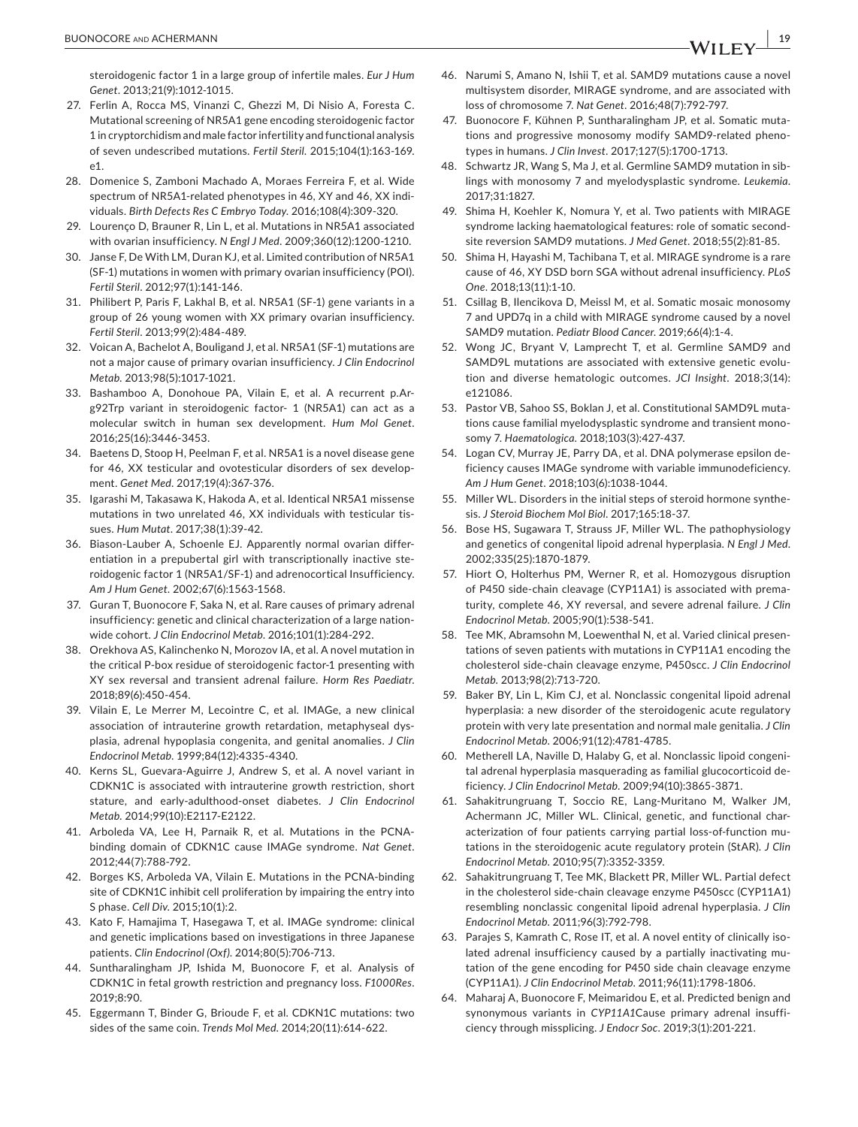steroidogenic factor 1 in a large group of infertile males. *Eur J Hum Genet*. 2013;21(9):1012‐1015.

- 27. Ferlin A, Rocca MS, Vinanzi C, Ghezzi M, Di Nisio A, Foresta C. Mutational screening of NR5A1 gene encoding steroidogenic factor 1 in cryptorchidism and male factor infertility and functional analysis of seven undescribed mutations. *Fertil Steril*. 2015;104(1):163‐169.  $\sim$ 1
- 28. Domenice S, Zamboni Machado A, Moraes Ferreira F, et al. Wide spectrum of NR5A1-related phenotypes in 46, XY and 46, XX individuals. *Birth Defects Res C Embryo Today*. 2016;108(4):309‐320.
- 29. Lourenço D, Brauner R, Lin L, et al. Mutations in NR5A1 associated with ovarian insufficiency. *N Engl J Med*. 2009;360(12):1200‐1210.
- 30. Janse F, De With LM, Duran KJ, et al. Limited contribution of NR5A1 (SF‐1) mutations in women with primary ovarian insufficiency (POI). *Fertil Steril*. 2012;97(1):141‐146.
- 31. Philibert P, Paris F, Lakhal B, et al. NR5A1 (SF-1) gene variants in a group of 26 young women with XX primary ovarian insufficiency. *Fertil Steril*. 2013;99(2):484‐489.
- 32. Voican A, Bachelot A, Bouligand J, et al. NR5A1 (SF-1) mutations are not a major cause of primary ovarian insufficiency. *J Clin Endocrinol Metab*. 2013;98(5):1017‐1021.
- 33. Bashamboo A, Donohoue PA, Vilain E, et al. A recurrent p.Arg92Trp variant in steroidogenic factor‐ 1 (NR5A1) can act as a molecular switch in human sex development. *Hum Mol Genet*. 2016;25(16):3446‐3453.
- 34. Baetens D, Stoop H, Peelman F, et al. NR5A1 is a novel disease gene for 46, XX testicular and ovotesticular disorders of sex develop‐ ment. *Genet Med*. 2017;19(4):367‐376.
- 35. Igarashi M, Takasawa K, Hakoda A, et al. Identical NR5A1 missense mutations in two unrelated 46, XX individuals with testicular tis‐ sues. *Hum Mutat*. 2017;38(1):39‐42.
- 36. Biason-Lauber A, Schoenle EJ. Apparently normal ovarian differentiation in a prepubertal girl with transcriptionally inactive ste‐ roidogenic factor 1 (NR5A1/SF‐1) and adrenocortical Insufficiency. *Am J Hum Genet*. 2002;67(6):1563‐1568.
- 37. Guran T, Buonocore F, Saka N, et al. Rare causes of primary adrenal insufficiency: genetic and clinical characterization of a large nation‐ wide cohort. *J Clin Endocrinol Metab*. 2016;101(1):284‐292.
- 38. Orekhova AS, Kalinchenko N, Morozov IA, et al. A novel mutation in the critical P‐box residue of steroidogenic factor‐1 presenting with XY sex reversal and transient adrenal failure. *Horm Res Paediatr*. 2018;89(6):450‐454.
- 39. Vilain E, Le Merrer M, Lecointre C, et al. IMAGe, a new clinical association of intrauterine growth retardation, metaphyseal dys‐ plasia, adrenal hypoplasia congenita, and genital anomalies. *J Clin Endocrinol Metab*. 1999;84(12):4335‐4340.
- 40. Kerns SL, Guevara-Aguirre J, Andrew S, et al. A novel variant in CDKN1C is associated with intrauterine growth restriction, short stature, and early‐adulthood‐onset diabetes. *J Clin Endocrinol Metab*. 2014;99(10):E2117‐E2122.
- 41. Arboleda VA, Lee H, Parnaik R, et al. Mutations in the PCNAbinding domain of CDKN1C cause IMAGe syndrome. *Nat Genet*. 2012;44(7):788‐792.
- 42. Borges KS, Arboleda VA, Vilain E. Mutations in the PCNA-binding site of CDKN1C inhibit cell proliferation by impairing the entry into S phase. *Cell Div*. 2015;10(1):2.
- 43. Kato F, Hamajima T, Hasegawa T, et al. IMAGe syndrome: clinical and genetic implications based on investigations in three Japanese patients. *Clin Endocrinol (Oxf)*. 2014;80(5):706‐713.
- 44. Suntharalingham JP, Ishida M, Buonocore F, et al. Analysis of CDKN1C in fetal growth restriction and pregnancy loss. *F1000Res*. 2019;8:90.
- 45. Eggermann T, Binder G, Brioude F, et al. CDKN1C mutations: two sides of the same coin. *Trends Mol Med*. 2014;20(11):614‐622.
- 46. Narumi S, Amano N, Ishii T, et al. SAMD9 mutations cause a novel multisystem disorder, MIRAGE syndrome, and are associated with loss of chromosome 7. *Nat Genet*. 2016;48(7):792‐797.
- 47. Buonocore F, Kühnen P, Suntharalingham JP, et al. Somatic mutations and progressive monosomy modify SAMD9‐related pheno‐ types in humans. *J Clin Invest*. 2017;127(5):1700‐1713.
- 48. Schwartz JR, Wang S, Ma J, et al. Germline SAMD9 mutation in siblings with monosomy 7 and myelodysplastic syndrome. *Leukemia*. 2017;31:1827.
- 49. Shima H, Koehler K, Nomura Y, et al. Two patients with MIRAGE syndrome lacking haematological features: role of somatic second‐ site reversion SAMD9 mutations. *J Med Genet*. 2018;55(2):81‐85.
- 50. Shima H, Hayashi M, Tachibana T, et al. MIRAGE syndrome is a rare cause of 46, XY DSD born SGA without adrenal insufficiency. *PLoS One*. 2018;13(11):1‐10.
- 51. Csillag B, Ilencikova D, Meissl M, et al. Somatic mosaic monosomy 7 and UPD7q in a child with MIRAGE syndrome caused by a novel SAMD9 mutation. *Pediatr Blood Cancer*. 2019;66(4):1‐4.
- 52. Wong JC, Bryant V, Lamprecht T, et al. Germline SAMD9 and SAMD9L mutations are associated with extensive genetic evolu‐ tion and diverse hematologic outcomes. *JCI Insight*. 2018;3(14): e121086.
- 53. Pastor VB, Sahoo SS, Boklan J, et al. Constitutional SAMD9L mutations cause familial myelodysplastic syndrome and transient mono‐ somy 7. *Haematologica*. 2018;103(3):427‐437.
- 54. Logan CV, Murray JE, Parry DA, et al. DNA polymerase epsilon deficiency causes IMAGe syndrome with variable immunodeficiency. *Am J Hum Genet*. 2018;103(6):1038‐1044.
- 55. Miller WL. Disorders in the initial steps of steroid hormone synthesis. *J Steroid Biochem Mol Biol*. 2017;165:18‐37.
- 56. Bose HS, Sugawara T, Strauss JF, Miller WL. The pathophysiology and genetics of congenital lipoid adrenal hyperplasia. *N Engl J Med*. 2002;335(25):1870‐1879.
- 57. Hiort O, Holterhus PM, Werner R, et al. Homozygous disruption of P450 side‐chain cleavage (CYP11A1) is associated with prema‐ turity, complete 46, XY reversal, and severe adrenal failure. *J Clin Endocrinol Metab*. 2005;90(1):538‐541.
- 58. Tee MK, Abramsohn M, Loewenthal N, et al. Varied clinical presentations of seven patients with mutations in CYP11A1 encoding the cholesterol side‐chain cleavage enzyme, P450scc. *J Clin Endocrinol Metab*. 2013;98(2):713‐720.
- 59. Baker BY, Lin L, Kim CJ, et al. Nonclassic congenital lipoid adrenal hyperplasia: a new disorder of the steroidogenic acute regulatory protein with very late presentation and normal male genitalia. *J Clin Endocrinol Metab*. 2006;91(12):4781‐4785.
- 60. Metherell LA, Naville D, Halaby G, et al. Nonclassic lipoid congeni‐ tal adrenal hyperplasia masquerading as familial glucocorticoid de‐ ficiency. *J Clin Endocrinol Metab*. 2009;94(10):3865‐3871.
- 61. Sahakitrungruang T, Soccio RE, Lang‐Muritano M, Walker JM, Achermann JC, Miller WL. Clinical, genetic, and functional char‐ acterization of four patients carrying partial loss‐of‐function mu‐ tations in the steroidogenic acute regulatory protein (StAR). *J Clin Endocrinol Metab*. 2010;95(7):3352‐3359.
- 62. Sahakitrungruang T, Tee MK, Blackett PR, Miller WL. Partial defect in the cholesterol side‐chain cleavage enzyme P450scc (CYP11A1) resembling nonclassic congenital lipoid adrenal hyperplasia. *J Clin Endocrinol Metab*. 2011;96(3):792‐798.
- 63. Parajes S, Kamrath C, Rose IT, et al. A novel entity of clinically iso‐ lated adrenal insufficiency caused by a partially inactivating mu‐ tation of the gene encoding for P450 side chain cleavage enzyme (CYP11A1). *J Clin Endocrinol Metab*. 2011;96(11):1798‐1806.
- 64. Maharaj A, Buonocore F, Meimaridou E, et al. Predicted benign and synonymous variants in *CYP11A1*Cause primary adrenal insuffi‐ ciency through missplicing. *J Endocr Soc*. 2019;3(1):201‐221.